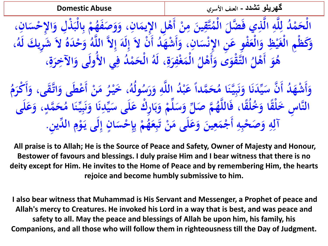**گھریلو تشدد - العنف األسري Abuse Domestic**

**، انِ س ا ِإلح ذِل و ب ال م َ ْ b**<br> **d ْ َ ْ** ِ<br>ب **ب**<br>ب **ْ** ام<br>پر **فه ص َ َ َ و ، و انِ ِل ا ِإليم ى أْ ن م ين َّق ت َ َ d َ ِ َ 2002 ُ م ال ضل َّ َ ذِي ف َّ ال و َّ ل د ل ُ ْ م ح ال ْ َ ِ ِ َ ْ ُ و َك ل شِري ُ الَ َ ده َ ْ ح و ُ و َّ الل ِالَّ و ن الَ ْ َ د أ ُ َ شه أَ ، و انِ س ِن ا ِإلن فِو ع ع ال ِظ و ي غ ِْم ال َكظ و ، َ َ إ َ َ ل ِ إ ْ َ َ اگر**<br>افغانستان **َ ْ َ ْ َ ْ ُوَ**<br>ب **ْ َ ِ** الْمَغْفِرَةِ، لَهُ الْحَمْلُا فِي الأُولَى وَالآخِرَةِ **َ َ َ ِ َ ْ َ ِ َ ِ َ ْ ُ ْل ى َى و قو ْ َّ الت َ أ َ** هُوَ أَهْلُ التَّقْوَى وَأَهْلُ الْمَغْفِرَةِ، لَهُ الْحَمْدُ فِي الأولى وَالآخِرَةِ، **َ أ َ**

م<br>أ **م َ ْكر قى، و َّ ات ى و عط ن م ر خي ، ُ و ُ ول َ أ َ َ b**<br> **d َ ْ َ أ ْ َ** <mark>ک</mark><br>بی **ْ َ** ام حَمَّداً عَبْدُ اللَّهِ وَرَسُ**ُ َ** }<br><br>. **ِ َ ً َ ُ** وَأَشْهَدُ أَنَّ سَيِّدَنَا وَنَبِيَّنَا مُ<br>... **َ ↓ ُفُ**<br>: **ن َ** ن<br>. **ِل َ ْ َ أ** }<br>}<br>. **ٍ مد َّ ح َ ُ** النَّاسِ خَلْقًا وَخُلُقًا، فَاللَّهُمَّ صَلِّ وَسَلِّمْ وَبَارِكْ عَلَى سَيِّدِنَا وَنَبِيِّنَا مُحَمَّدٍ، وَعَلَى<br>~: **َ ↓ ُلُّ**<br>. **ن َ** ن<br>ے **ن َ َ َ ْ با**<br>. **ب َ ْ َ َ َ َ ْ َ َ َ َ ِ م و ى ي ان س ِح إ م ْ ابہ**<br>بالا **َ ل ِ إ ٍ َ ْ ب ب**<br>ب **ْ ُ ه ع ب ن ى م ل ع و ين ع م ج و حب ص َ ِ ئی**<br>1 **ت ْ َ َ َ َ َ ِ َ ْ َ أ ِ ِ ْ َ َ و و دي ِن. آل ال ِّ ِ ِ**

**All praise is to Allah; He is the Source of Peace and Safety, Owner of Majesty and Honour, Bestower of favours and blessings. I duly praise Him and I bear witness that there is no deity except for Him. He invites to the Home of Peace and by remembering Him, the hearts rejoice and become humbly submissive to him.**

**I also bear witness that Muhammad is His Servant and Messenger, a Prophet of peace and Allah's mercy to Creatures. He invoked his Lord in a way that is best, and was peace and safety to all. May the peace and blessings of Allah be upon him, his family, his Companions, and all those who will follow them in righteousness till the Day of Judgment.**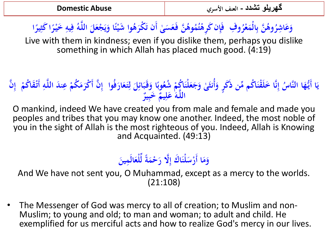### **و ِف ُ ْر ع الْم ن ب َّ ُ وى َ ب ُ** وَعَاشِرُوهُنَّ بِالْمَعْرُوفِ ۖ فَإِن كَرِهْتُمُوهُنَّ فَعَسَىٰ أَن تَكْرَهُوا شَيْئًا وَيَجْعَلَ اللَّهُ فِيهِ خَيْرًا كَثِيرًا **َ َ ً <u></sub>**</u> **ا ً ِ ِ َ ي َ ً ْ َ ْ**

Live with them in kindness; even if you dislike them, perhaps you dislike something in which Allah has placed much good. (4:19)

### سُ إِنَّا خَلَقْنَاكُم مِّن ذُكَرٍ وَأَنثَىٰ وَجَعَلْنَاكُمْ شُعُوبًا وَقَبَائِلَ لِتَعَارَفُوا<br>اللَّهُ عَلَمٌ \* يَمَّةٌ ا<br>ا **َ َ ِ ل َ ی**<br>ای **اب**<br>له **َ ب ْ َ َ َ أ َ ٍ َ ن ِ ُ** ا أَيُّهَا النَّاسُ إِنَّا خَلَقْنَاكُم مِّن ذَكَرٍ وَأُنثَىٰ وَجَعَلْنَاكُمْ شُعُوبًا وَقَبَائِلَ لِتَعَارَفُوا ۚ إِنَّ أَكْرَمَكُمْ عِندَ اللَّهِ أَتْقَاكُمْ ۚ إِنَّ **َ ياءِ ي ْ ِ ْ َ َ إ** اللَّهُ ٰ عَلِيمٌّ ۚ خَبِيرٌ **ِ ِ َ**

O mankind, indeed We have created you from male and female and made you peoples and tribes that you may know one another. Indeed, the most noble of you in the sight of Allah is the most righteous of you. Indeed, Allah is Knowing and Acquainted. (49:13)

### **َ** وَمَا أَرْسَلْنَاكَ إِلَّا رَحْمَةً لِّلْعَالَمِينَ **َ َ َ َ َ َ**

And We have not sent you, O Muhammad, except as a mercy to the worlds. (21:108)

• The Messenger of God was mercy to all of creation; to Muslim and non-Muslim; to young and old; to man and woman; to adult and child. He exemplified for us merciful acts and how to realize God's mercy in our lives.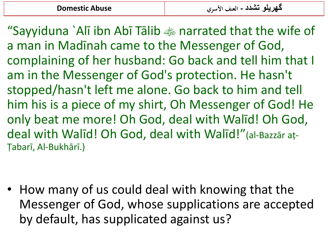"Sayyiduna `Alī ibn Abī Tālib  $\gg$  narrated that the wife of a man in Madīnah came to the Messenger of God, complaining of her husband: Go back and tell him that I am in the Messenger of God's protection. He hasn't stopped/hasn't left me alone. Go back to him and tell him his is a piece of my shirt, Oh Messenger of God! He only beat me more! Oh God, deal with Walīd! Oh God, deal with Walīd! Oh God, deal with Walīd!"(al-Bazzār aṭ-Ṭabarī, Al-Bukhārī.)

• How many of us could deal with knowing that the Messenger of God, whose supplications are accepted by default, has supplicated against us?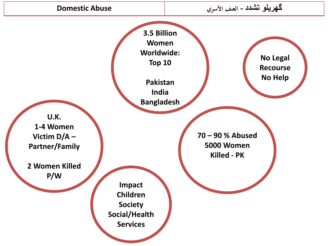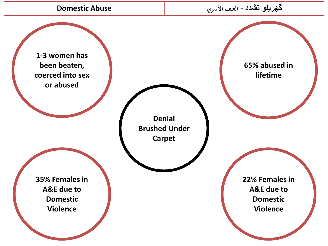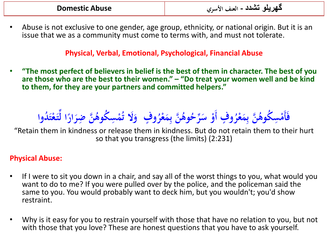• Abuse is not exclusive to one gender, age group, ethnicity, or national origin. But it is an issue that we as a community must come to terms with, and must not tolerate.

## **Physical, Verbal, Emotional, Psychological, Financial Abuse**

• **"The most perfect of believers in belief is the best of them in character. The best of you are those who are the best to their women." – "Do treat your women well and be kind to them, for they are your partners and committed helpers."**

فَأَمْسِكُوهُنَّ بِمَعْرُوفٍ أَوْ سَرِّحُوهُنَّ بِمَعْرُوفٍ **ْ** ر<br>م **ر ع ِم ن ب َّ ُ وى ْ َ ُ رح ِّ َ س ف أَو و ٍ ْ** ر<br>م بِمَعْرُوفٍ أَوْ سَرِّحُوهُنَّ بِمَعْرُوفٍ ۚ وَلَا تُمْسِكُوهُنَّ ضِرَارًا لِّتَعْتَدُوا **ْ َ ْ َ** ا<br>ا **ُلُ ْ َ**

"Retain them in kindness or release them in kindness. But do not retain them to their hurt so that you transgress (the limits) (2:231)

## **Physical Abuse:**

- If I were to sit you down in a chair, and say all of the worst things to you, what would you want to do to me? If you were pulled over by the police, and the policeman said the same to you. You would probably want to deck him, but you wouldn't; you'd show restraint.
- Why is it easy for you to restrain yourself with those that have no relation to you, but not with those that you love? These are honest questions that you have to ask yourself.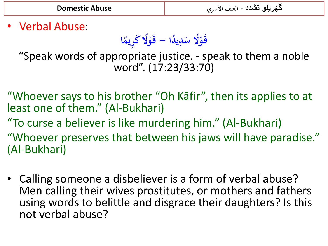• Verbal Abuse:

**ا ً ال َك ِريم ً ْ ال - قَ و ً ْ د قَ و ا ً ي َدِ س**

"Speak words of appropriate justice. - speak to them a noble word". (17:23/33:70)

"Whoever says to his brother "Oh Kāfir", then its applies to at least one of them." (Al-Bukhari)

"To curse a believer is like murdering him." (Al-Bukhari) "Whoever preserves that between his jaws will have paradise." (Al-Bukhari)

• Calling someone a disbeliever is a form of verbal abuse? Men calling their wives prostitutes, or mothers and fathers using words to belittle and disgrace their daughters? Is this not verbal abuse?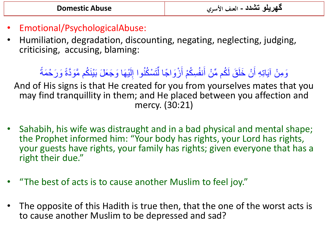- Emotional/PsychologicalAbuse:
- Humiliation, degradation, discounting, negating, neglecting, judging, criticising, accusing, blaming:

### وَمِنْ آيَاتِهِ أَنْ خَلَقَ لَكُم مِّنْ أَنفُسِكُمْ أَزْوَاجًا لِّتَسْكُنُوا إِلَيْهَا وَجَعَلَ بَيْنَكُم مَّوَدَّةً وَرَحْمَةً ¤ٌ ٌ ا ن<br>م ُ لَ ِ ر<br>د ُ<br>ک ِّ َ ُ<br>ک و<br>عا َ ِّمِ َ

And of His signs is that He created for you from yourselves mates that you may find tranquillity in them; and He placed between you affection and mercy. (30:21)

- Sahabih, his wife was distraught and in a bad physical and mental shape; the Prophet informed him: "Your body has rights, your Lord has rights, your guests have rights, your family has rights; given everyone that has a right their due."
- "The best of acts is to cause another Muslim to feel joy."
- The opposite of this Hadith is true then, that the one of the worst acts is to cause another Muslim to be depressed and sad?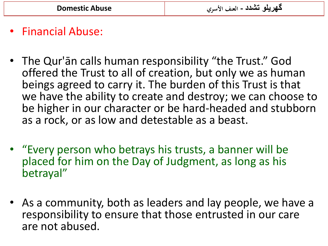# • Financial Abuse:

- The Qur'ān calls human responsibility "the Trust." God offered the Trust to all of creation, but only we as human beings agreed to carry it. The burden of this Trust is that we have the ability to create and destroy; we can choose to be higher in our character or be hard-headed and stubborn as a rock, or as low and detestable as a beast.
- "Every person who betrays his trusts, a banner will be placed for him on the Day of Judgment, as long as his betrayal"
- As a community, both as leaders and lay people, we have a responsibility to ensure that those entrusted in our care are not abused.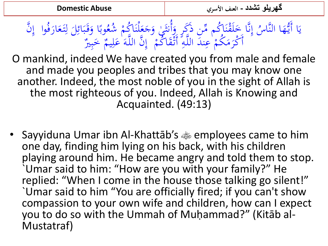وبًا وَقَبَائِلَ لِتَعَارَفُوا َ العلم<br>العلمية<br>العلمية  $\ddot{ }$ اُ ل ً<br>ب ِ<br>پُ  $\ddot{\cdot}$ بر <u>ة</u><br>• َ ب<br>. نَّا خَلَقْنَاكُم مِّن ذَكَرٍ وَأَنتَنِ وَجَعَلْنَاكُمْ شُعُ<br>أَكْرَبَرُهُ مِن اللَّهِ أَوْدَاكُه وَ النَّ الَّهَ الْمَرْدَا  $\ddot{\phantom{0}}$  $\overline{\mathbf{r}}$ ِ<br>په ہ<br>ا **ہ⁄**<br>∷  $\overline{a}$  $\frac{1}{2}$ ر<br>مذ ا<br>م  $\frac{1}{2}$ بر<br>ف  $\int$ إ المبار<br>ا َّا أَيُّهَا النَّاسُ إِنَّا خَلَقْنَاكُم مِّن ذَكَرٍ وَأُنثَىٰ وَجَعَلْنَاكُمْ شُعُوبًا وَقَبَائِلَ لِتَعَارَفُوا ۚ إِنَّ َ <u>ب</u><br>: ي  $\int$ إ ْ أَكْرَمَكُمْ عِندَ اللَّهِ أَتْقَاكُمْ ام<br>م ٌ<br>ن  $\overline{a}$ ا<br>ا  $\mathbf{r}$  $\mathcal{A}$ ر<br>( ر<br>.<br>. نَّ اللَّهَ ٰعَلِيمٌ ۚ خَبِيرٌ ٗ<br>اللَّهَ ٰعَلِيمٌ ۡ خَبِيرٌ ٗ بد َ  $\overline{\mathsf{I}}$ <mark>ک</mark> ً<br>م  $\int$ إ

O mankind, indeed We have created you from male and female and made you peoples and tribes that you may know one another. Indeed, the most noble of you in the sight of Allah is the most righteous of you. Indeed, Allah is Knowing and Acquainted. (49:13)

• Sayyiduna Umar ibn Al-Khattāb's  $\ddot{\ast}$  employees came to him one day, finding him lying on his back, with his children playing around him. He became angry and told them to stop. `Umar said to him: "How are you with your family?" He replied: "When I come in the house those talking go silent!" `Umar said to him "You are officially fired; if you can't show compassion to your own wife and children, how can I expect you to do so with the Ummah of Muḥammad?" (Kitāb al-Mustatraf)